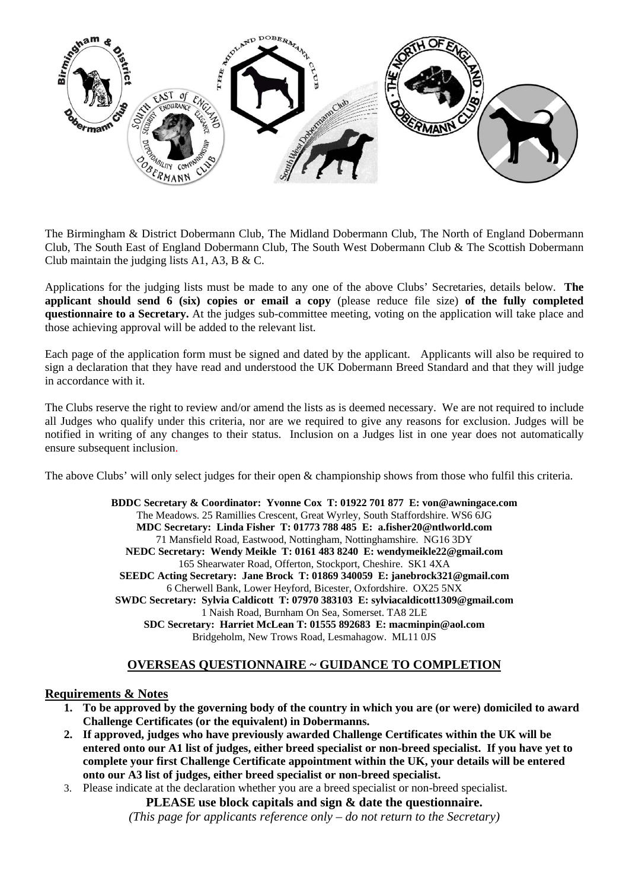

The Birmingham & District Dobermann Club, The Midland Dobermann Club, The North of England Dobermann Club, The South East of England Dobermann Club, The South West Dobermann Club & The Scottish Dobermann Club maintain the judging lists A1, A3, B & C.

Applications for the judging lists must be made to any one of the above Clubs' Secretaries, details below. **The applicant should send 6 (six) copies or email a copy** (please reduce file size) **of the fully completed questionnaire to a Secretary.** At the judges sub-committee meeting, voting on the application will take place and those achieving approval will be added to the relevant list.

Each page of the application form must be signed and dated by the applicant. Applicants will also be required to sign a declaration that they have read and understood the UK Dobermann Breed Standard and that they will judge in accordance with it.

The Clubs reserve the right to review and/or amend the lists as is deemed necessary. We are not required to include all Judges who qualify under this criteria, nor are we required to give any reasons for exclusion. Judges will be notified in writing of any changes to their status. Inclusion on a Judges list in one year does not automatically ensure subsequent inclusion.

The above Clubs' will only select judges for their open & championship shows from those who fulfil this criteria.

**BDDC Secretary & Coordinator: Yvonne Cox T: 01922 701 877 E: von@awningace.com**  The Meadows. 25 Ramillies Crescent, Great Wyrley, South Staffordshire. WS6 6JG **MDC Secretary: Linda Fisher T: 01773 788 485 E: a.fisher20@ntlworld.com**  71 Mansfield Road, Eastwood, Nottingham, Nottinghamshire. NG16 3DY **NEDC Secretary: Wendy Meikle T: 0161 483 8240 E: wendymeikle22@gmail.com**  165 Shearwater Road, Offerton, Stockport, Cheshire. SK1 4XA **SEEDC Acting Secretary: Jane Brock T: 01869 340059 E: janebrock321@gmail.com**  6 Cherwell Bank, Lower Heyford, Bicester, Oxfordshire. OX25 5NX **SWDC Secretary: Sylvia Caldicott T: 07970 383103 E: sylviacaldicott1309@gmail.com**  1 Naish Road, Burnham On Sea, Somerset. TA8 2LE **SDC Secretary: Harriet McLean T: 01555 892683 E: macminpin@aol.com**  Bridgeholm, New Trows Road, Lesmahagow. ML11 0JS

# **OVERSEAS QUESTIONNAIRE ~ GUIDANCE TO COMPLETION**

### **Requirements & Notes**

- **1. To be approved by the governing body of the country in which you are (or were) domiciled to award Challenge Certificates (or the equivalent) in Dobermanns.**
- **2. If approved, judges who have previously awarded Challenge Certificates within the UK will be entered onto our A1 list of judges, either breed specialist or non-breed specialist. If you have yet to complete your first Challenge Certificate appointment within the UK, your details will be entered onto our A3 list of judges, either breed specialist or non-breed specialist.**
- 3. Please indicate at the declaration whether you are a breed specialist or non-breed specialist.

**PLEASE use block capitals and sign & date the questionnaire.** 

*(This page for applicants reference only – do not return to the Secretary)*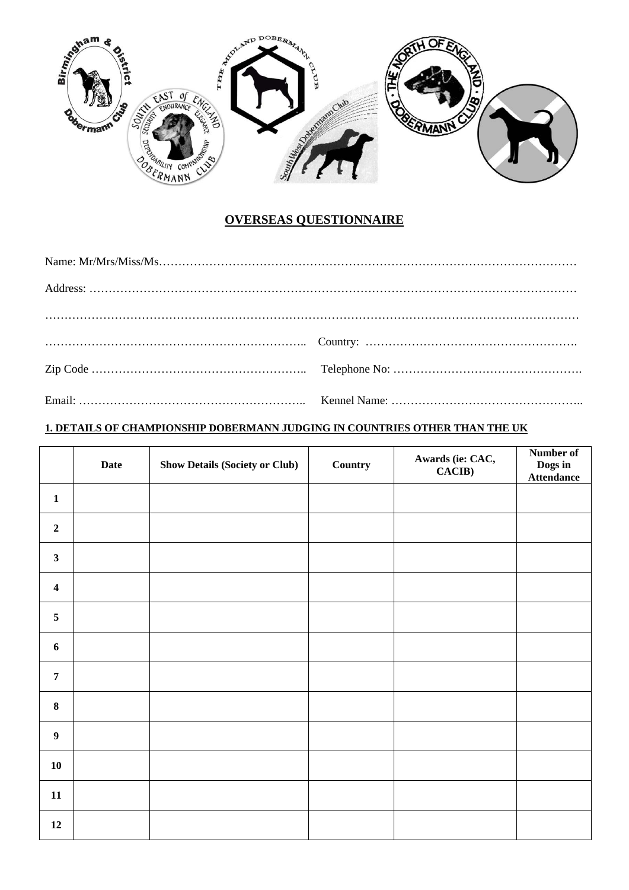

# **OVERSEAS QUESTIONNAIRE**

# **1. DETAILS OF CHAMPIONSHIP DOBERMANN JUDGING IN COUNTRIES OTHER THAN THE UK**

|                         | <b>Date</b> | <b>Show Details (Society or Club)</b> | <b>Country</b> | Awards (ie: CAC,<br>CACIB) | Number of<br><b>Dogs in<br/>Attendance</b> |
|-------------------------|-------------|---------------------------------------|----------------|----------------------------|--------------------------------------------|
| $\mathbf{1}$            |             |                                       |                |                            |                                            |
| $\boldsymbol{2}$        |             |                                       |                |                            |                                            |
| $\mathbf{3}$            |             |                                       |                |                            |                                            |
| $\overline{\mathbf{4}}$ |             |                                       |                |                            |                                            |
| 5                       |             |                                       |                |                            |                                            |
| $\boldsymbol{6}$        |             |                                       |                |                            |                                            |
| $\overline{7}$          |             |                                       |                |                            |                                            |
| $\bf 8$                 |             |                                       |                |                            |                                            |
| $\boldsymbol{9}$        |             |                                       |                |                            |                                            |
| 10                      |             |                                       |                |                            |                                            |
| ${\bf 11}$              |             |                                       |                |                            |                                            |
| 12                      |             |                                       |                |                            |                                            |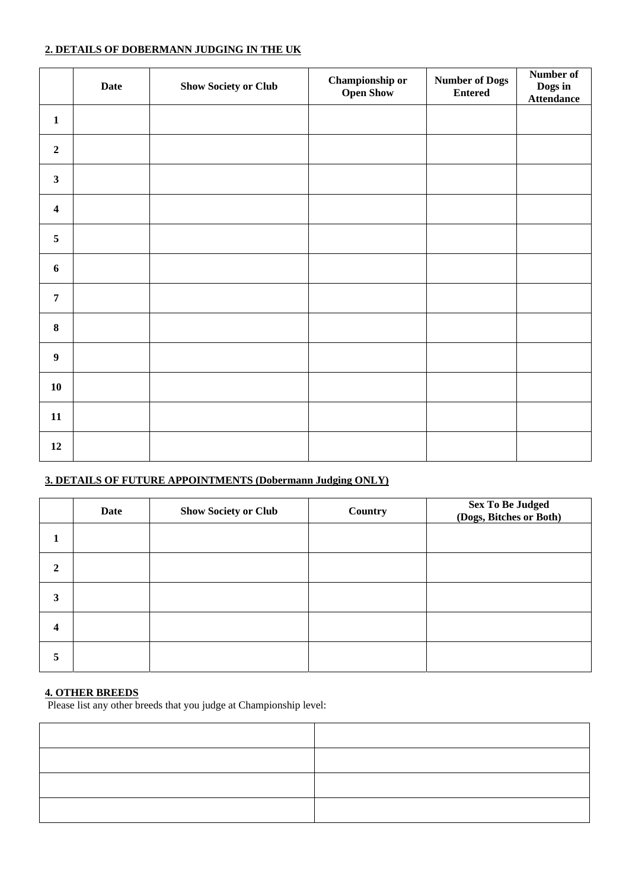# **2. DETAILS OF DOBERMANN JUDGING IN THE UK**

|                         | <b>Date</b> | <b>Show Society or Club</b> | <b>Championship or</b><br><b>Open Show</b> | <b>Number of Dogs</b><br><b>Entered</b> | Number of<br>Dogs in<br><b>Attendance</b> |
|-------------------------|-------------|-----------------------------|--------------------------------------------|-----------------------------------------|-------------------------------------------|
| $\mathbf{1}$            |             |                             |                                            |                                         |                                           |
| $\mathbf 2$             |             |                             |                                            |                                         |                                           |
| $\overline{\mathbf{3}}$ |             |                             |                                            |                                         |                                           |
| $\boldsymbol{4}$        |             |                             |                                            |                                         |                                           |
| $\sqrt{5}$              |             |                             |                                            |                                         |                                           |
| 6                       |             |                             |                                            |                                         |                                           |
| $\overline{7}$          |             |                             |                                            |                                         |                                           |
| $\bf 8$                 |             |                             |                                            |                                         |                                           |
| $\boldsymbol{9}$        |             |                             |                                            |                                         |                                           |
| ${\bf 10}$              |             |                             |                                            |                                         |                                           |
| 11                      |             |                             |                                            |                                         |                                           |
| 12                      |             |                             |                                            |                                         |                                           |

# **3. DETAILS OF FUTURE APPOINTMENTS (Dobermann Judging ONLY)**

|   | Date | <b>Show Society or Club</b> | Country | <b>Sex To Be Judged (Dogs, Bitches or Both)</b> |
|---|------|-----------------------------|---------|-------------------------------------------------|
|   |      |                             |         |                                                 |
| 2 |      |                             |         |                                                 |
| 3 |      |                             |         |                                                 |
| 4 |      |                             |         |                                                 |
| 5 |      |                             |         |                                                 |

### **4. OTHER BREEDS**

Please list any other breeds that you judge at Championship level: